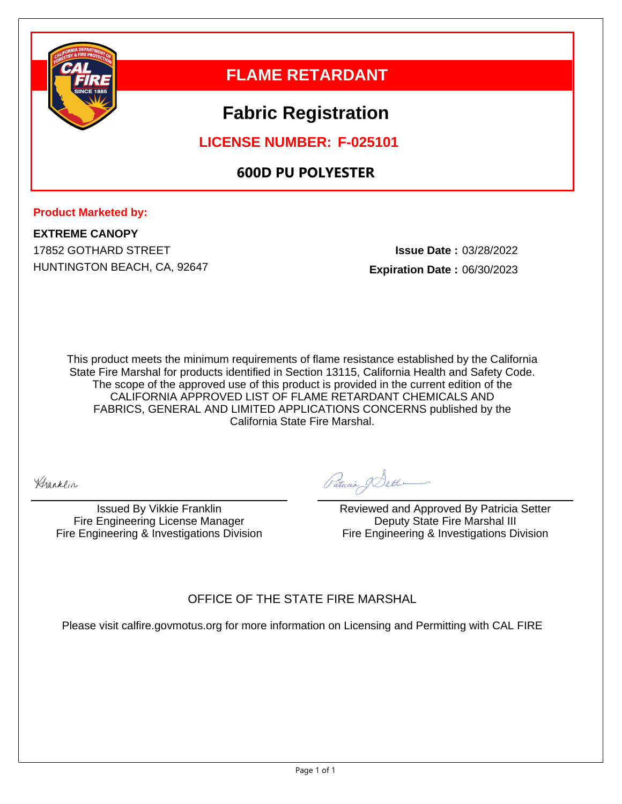

## **FLAME RETARDANT**

# **Fabric Registration**

## **LICENSE NUMBER: F-025101**

### **600D PU POLYESTER**

#### **Product Marketed by:**

**EXTREME CANOPY** 17852 GOTHARD STREET **Issue Date :** 03/28/2022

HUNTINGTON BEACH, CA, 92647 **Expiration Date :** 06/30/2023

This product meets the minimum requirements of flame resistance established by the California State Fire Marshal for products identified in Section 13115, California Health and Safety Code. The scope of the approved use of this product is provided in the current edition of the CALIFORNIA APPROVED LIST OF FLAME RETARDANT CHEMICALS AND FABRICS, GENERAL AND LIMITED APPLICATIONS CONCERNS published by the California State Fire Marshal.

Hranklin

Issued By Vikkie Franklin Fire Engineering License Manager Fire Engineering & Investigations Division

Patucia Dette

Reviewed and Approved By Patricia Setter Deputy State Fire Marshal III Fire Engineering & Investigations Division

### OFFICE OF THE STATE FIRE MARSHAL

Please visit calfire.govmotus.org for more information on Licensing and Permitting with CAL FIRE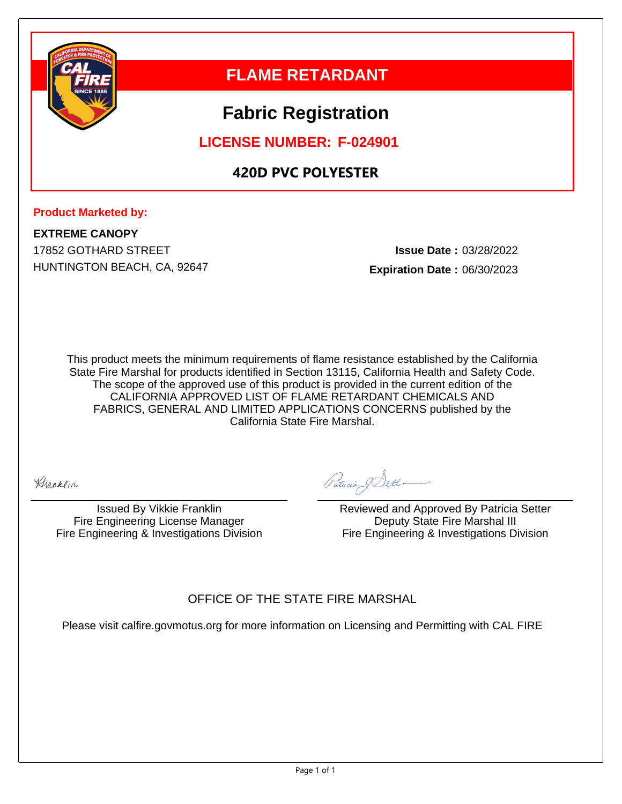

## **FLAME RETARDANT**

# **Fabric Registration**

### **LICENSE NUMBER: F-024901**

## **420D PVC POLYESTER**

#### **Product Marketed by:**

**EXTREME CANOPY** 17852 GOTHARD STREET **Issue Date :** 03/28/2022 HUNTINGTON BEACH, CA, 92647 **Expiration Date :** 06/30/2023

This product meets the minimum requirements of flame resistance established by the California State Fire Marshal for products identified in Section 13115, California Health and Safety Code. The scope of the approved use of this product is provided in the current edition of the CALIFORNIA APPROVED LIST OF FLAME RETARDANT CHEMICALS AND FABRICS, GENERAL AND LIMITED APPLICATIONS CONCERNS published by the California State Fire Marshal.

Hranklin

Issued By Vikkie Franklin Fire Engineering License Manager Fire Engineering & Investigations Division

Patucia Dette

Reviewed and Approved By Patricia Setter Deputy State Fire Marshal III Fire Engineering & Investigations Division

### OFFICE OF THE STATE FIRE MARSHAL

Please visit calfire.govmotus.org for more information on Licensing and Permitting with CAL FIRE